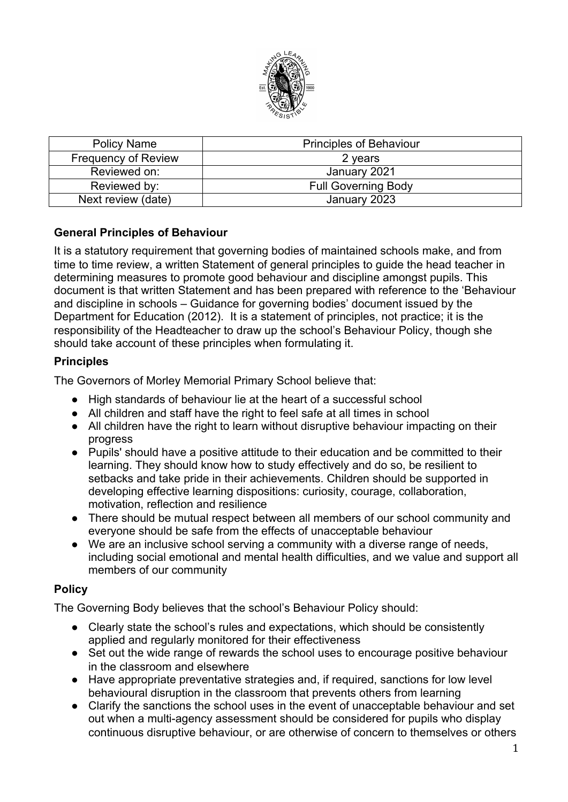

| <b>Policy Name</b>         | <b>Principles of Behaviour</b> |
|----------------------------|--------------------------------|
| <b>Frequency of Review</b> | 2 years                        |
| Reviewed on:               | January 2021                   |
| Reviewed by:               | <b>Full Governing Body</b>     |
| Next review (date)         | January 2023                   |

## **General Principles of Behaviour**

It is a statutory requirement that governing bodies of maintained schools make, and from time to time review, a written Statement of general principles to guide the head teacher in determining measures to promote good behaviour and discipline amongst pupils. This document is that written Statement and has been prepared with reference to the 'Behaviour and discipline in schools – Guidance for governing bodies' document issued by the Department for Education (2012). It is a statement of principles, not practice; it is the responsibility of the Headteacher to draw up the school's Behaviour Policy, though she should take account of these principles when formulating it.

## **Principles**

The Governors of Morley Memorial Primary School believe that:

- High standards of behaviour lie at the heart of a successful school
- All children and staff have the right to feel safe at all times in school
- All children have the right to learn without disruptive behaviour impacting on their progress
- Pupils' should have a positive attitude to their education and be committed to their learning. They should know how to study effectively and do so, be resilient to setbacks and take pride in their achievements. Children should be supported in developing effective learning dispositions: curiosity, courage, collaboration, motivation, reflection and resilience
- There should be mutual respect between all members of our school community and everyone should be safe from the effects of unacceptable behaviour
- We are an inclusive school serving a community with a diverse range of needs, including social emotional and mental health difficulties, and we value and support all members of our community

## **Policy**

The Governing Body believes that the school's Behaviour Policy should:

- Clearly state the school's rules and expectations, which should be consistently applied and regularly monitored for their effectiveness
- Set out the wide range of rewards the school uses to encourage positive behaviour in the classroom and elsewhere
- Have appropriate preventative strategies and, if required, sanctions for low level behavioural disruption in the classroom that prevents others from learning
- Clarify the sanctions the school uses in the event of unacceptable behaviour and set out when a multi-agency assessment should be considered for pupils who display continuous disruptive behaviour, or are otherwise of concern to themselves or others